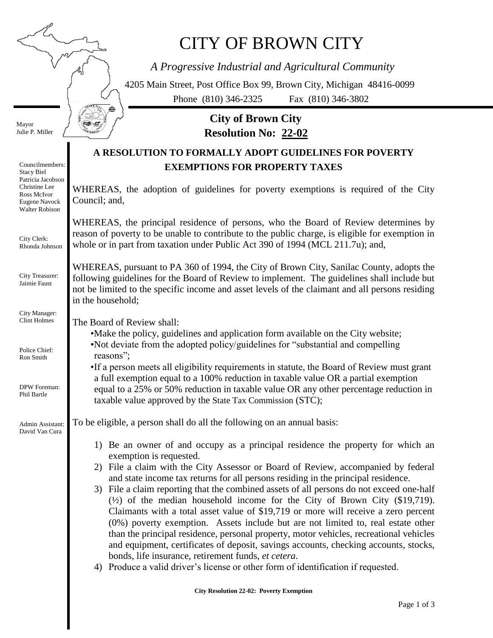# CITY OF BROWN CITY

*A Progressive Industrial and Agricultural Community*

4205 Main Street, Post Office Box 99, Brown City, Michigan 48416-0099 Phone (810) 346-2325 Fax (810) 346-3802



## Council; and, in the household; The Board of Review shall: reasons"; Councilmembers: Stacy Biel Patricia Jacobson Christine Lee Ross McIvor Eugene Navock Walter Robison City Clerk: Rhonda Johnson City Treasurer: Jaimie Faust City Manager: Clint Holmes Police Chief: Ron Smith DPW Foreman: Phil Bartle Admin Assistant: David Van Cura

舟

### **A RESOLUTION TO FORMALLY ADOPT GUIDELINES FOR POVERTY Resolution No: 22-02**

 **City of Brown City**

### **EXEMPTIONS FOR PROPERTY TAXES**

WHEREAS, the adoption of guidelines for poverty exemptions is required of the City

WHEREAS, the principal residence of persons, who the Board of Review determines by reason of poverty to be unable to contribute to the public charge, is eligible for exemption in whole or in part from taxation under Public Act 390 of 1994 (MCL 211.7u); and,

WHEREAS, pursuant to PA 360 of 1994, the City of Brown City, Sanilac County, adopts the following guidelines for the Board of Review to implement. The guidelines shall include but not be limited to the specific income and asset levels of the claimant and all persons residing

•Make the policy, guidelines and application form available on the City website; •Not deviate from the adopted policy/guidelines for "substantial and compelling

•If a person meets all eligibility requirements in statute, the Board of Review must grant a full exemption equal to a 100% reduction in taxable value OR a partial exemption equal to a 25% or 50% reduction in taxable value OR any other percentage reduction in taxable value approved by the State Tax Commission (STC);

To be eligible, a person shall do all the following on an annual basis:

- 1) Be an owner of and occupy as a principal residence the property for which an exemption is requested.
- 2) File a claim with the City Assessor or Board of Review, accompanied by federal and state income tax returns for all persons residing in the principal residence.
- 3) File a claim reporting that the combined assets of all persons do not exceed one-half (½) of the median household income for the City of Brown City (\$19,719). Claimants with a total asset value of \$19,719 or more will receive a zero percent (0%) poverty exemption. Assets include but are not limited to, real estate other than the principal residence, personal property, motor vehicles, recreational vehicles and equipment, certificates of deposit, savings accounts, checking accounts, stocks, bonds, life insurance, retirement funds, *et cetera*.
- 4) Produce a valid driver's license or other form of identification if requested.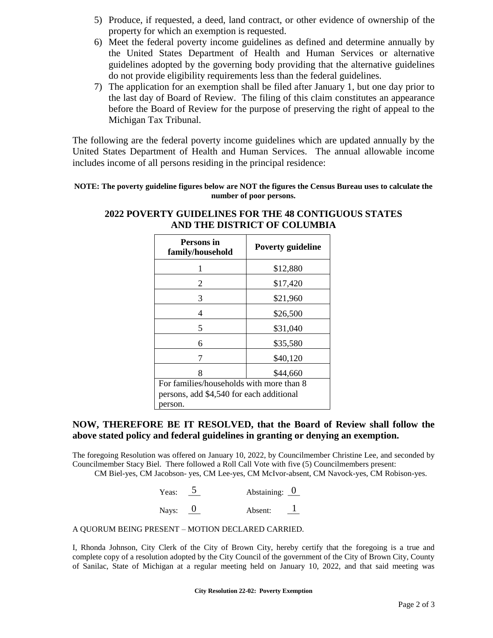- 5) Produce, if requested, a deed, land contract, or other evidence of ownership of the property for which an exemption is requested.
- 6) Meet the federal poverty income guidelines as defined and determine annually by the United States Department of Health and Human Services or alternative guidelines adopted by the governing body providing that the alternative guidelines do not provide eligibility requirements less than the federal guidelines.
- 7) The application for an exemption shall be filed after January 1, but one day prior to the last day of Board of Review. The filing of this claim constitutes an appearance before the Board of Review for the purpose of preserving the right of appeal to the Michigan Tax Tribunal.

The following are the federal poverty income guidelines which are updated annually by the United States Department of Health and Human Services. The annual allowable income includes income of all persons residing in the principal residence:

#### **NOTE: The poverty guideline figures below are NOT the figures the Census Bureau uses to calculate the number of poor persons.**

| Persons in<br>family/household                                                                  | <b>Poverty guideline</b> |  |
|-------------------------------------------------------------------------------------------------|--------------------------|--|
| 1                                                                                               | \$12,880                 |  |
| 2                                                                                               | \$17,420                 |  |
| 3                                                                                               | \$21,960                 |  |
| 4                                                                                               | \$26,500                 |  |
| 5                                                                                               | \$31,040                 |  |
| 6                                                                                               | \$35,580                 |  |
| 7                                                                                               | \$40,120                 |  |
| 8                                                                                               | \$44,660                 |  |
| For families/households with more than 8<br>persons, add \$4,540 for each additional<br>person. |                          |  |

### **2022 POVERTY GUIDELINES FOR THE 48 CONTIGUOUS STATES AND THE DISTRICT OF COLUMBIA**

#### **NOW, THEREFORE BE IT RESOLVED, that the Board of Review shall follow the above stated policy and federal guidelines in granting or denying an exemption.**

The foregoing Resolution was offered on January 10, 2022, by Councilmember Christine Lee, and seconded by Councilmember Stacy Biel. There followed a Roll Call Vote with five (5) Councilmembers present:

CM Biel-yes, CM Jacobson- yes, CM Lee-yes, CM McIvor-absent, CM Navock-yes, CM Robison-yes.

| Yeas: | Abstaining: $\sqrt{0}$ |  |
|-------|------------------------|--|
| Nays: | Absent:                |  |

A QUORUM BEING PRESENT – MOTION DECLARED CARRIED.

I, Rhonda Johnson, City Clerk of the City of Brown City, hereby certify that the foregoing is a true and complete copy of a resolution adopted by the City Council of the government of the City of Brown City, County of Sanilac, State of Michigan at a regular meeting held on January 10, 2022, and that said meeting was